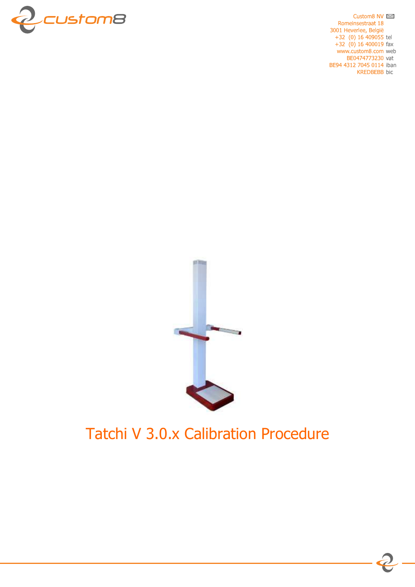

Custom8 NV  $\approx$ Romeinsestraat 18 3001 Heverlee, België  $+32$  (0) 16 409055 tel +32  $(0)$  16 400019 fax www.custom8.com web BE0474773230 vat BE94 4312 7045 0114 iban **KREDBEBB** bic



# Tatchi V 3.0.x Calibration Procedure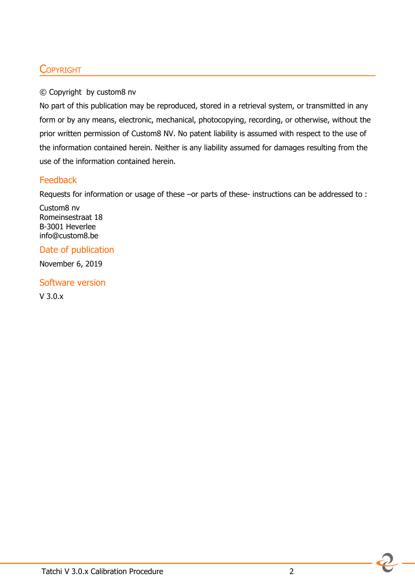### **COPYRIGHT**

#### © Copyright by custom8 nv

No part of this publication may be reproduced, stored in a retrieval system, or transmitted in any form or by any means, electronic, mechanical, photocopying, recording, or otherwise, without the prior written permission of Custom8 NV. No patent liability is assumed with respect to the use of the information contained herein. Neither is any liability assumed for damages resulting from the use of the information contained herein.

### Feedback

Requests for information or usage of these –or parts of these- instructions can be addressed to:

Custom8 nv Romeinsestraat 18 B-3001 Heverlee info@custom8.be

### Date of publication

November 6, 2019

Software version V 3.0.x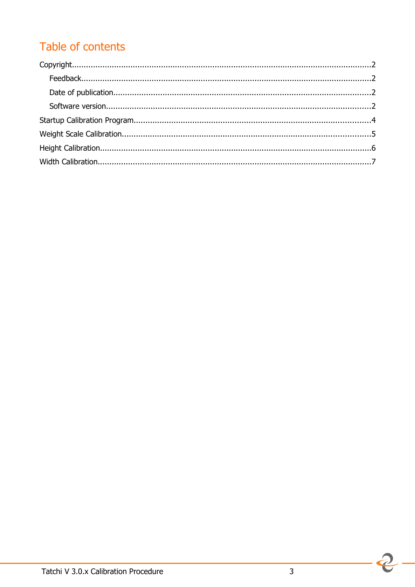## Table of contents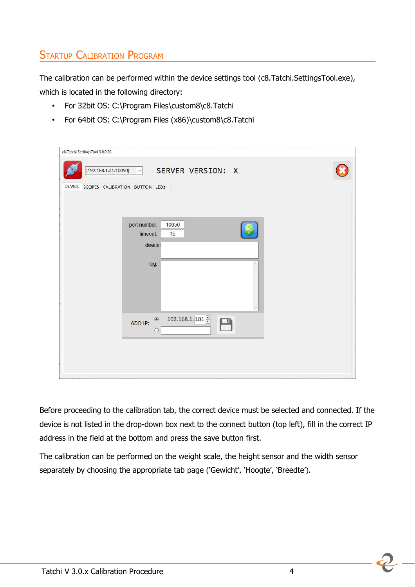## **STARTUP CALIBRATION PROGRAM**

The calibration can be performed within the device settings tool (c8.Tatchi.SettingsTool.exe), which is located in the following directory:

- For 32bit OS: C:\Program Files\custom8\c8.Tatchi
- For 64bit OS: C:\Program Files (x86)\custom8\c8.Tatchi

| c8.Tatchi.SettingsTool 3.0.0.20                                                 |  |
|---------------------------------------------------------------------------------|--|
| [192.168.1.21:10050]<br>SERVER VERSION: X<br>$\sim$                             |  |
| DEVICE SCOPES CALIBRATION BUTTON LEDS                                           |  |
|                                                                                 |  |
|                                                                                 |  |
| port number:<br>10050<br>timeout:<br>15                                         |  |
| device:                                                                         |  |
| log:                                                                            |  |
|                                                                                 |  |
|                                                                                 |  |
|                                                                                 |  |
| 192.168.1.101 $\frac{1}{2}$<br>$\circledbullet$<br>$\Box$<br>ADD IP:<br>$\circ$ |  |
|                                                                                 |  |
|                                                                                 |  |
|                                                                                 |  |

Before proceeding to the calibration tab, the correct device must be selected and connected. If the device is not listed in the drop-down box next to the connect button (top left), fill in the correct IP address in the field at the bottom and press the save button first.

The calibration can be performed on the weight scale, the height sensor and the width sensor separately by choosing the appropriate tab page ('Gewicht', 'Hoogte', 'Breedte').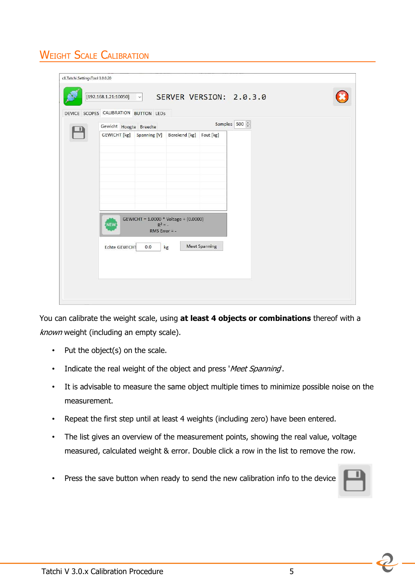## **WEIGHT SCALE CALIBRATION**

| Samples 500 =<br>Gewicht Hoogte Breedte |                              |                                                   |                      |  |  |
|-----------------------------------------|------------------------------|---------------------------------------------------|----------------------|--|--|
|                                         |                              | GEWICHT [kg] Spanning [V] Berekend [kg] Fout [kg] |                      |  |  |
|                                         |                              |                                                   |                      |  |  |
|                                         |                              |                                                   |                      |  |  |
|                                         |                              |                                                   |                      |  |  |
|                                         |                              |                                                   |                      |  |  |
|                                         |                              |                                                   |                      |  |  |
|                                         |                              |                                                   |                      |  |  |
|                                         |                              |                                                   |                      |  |  |
|                                         |                              | GEWICHT = 1.0000 * Voltage + (0.0000)             |                      |  |  |
| <b>NEW</b>                              | $R^2 = -$<br>RMS Error $= -$ |                                                   |                      |  |  |
|                                         |                              |                                                   |                      |  |  |
| Echte GEWICHT                           | 0.0                          | kg                                                | <b>Meet Spanning</b> |  |  |

You can calibrate the weight scale, using **at least 4 objects or combinations** thereof with a known weight (including an empty scale).

- Put the object(s) on the scale.
- Indicate the real weight of the object and press 'Meet Spanning.
- It is advisable to measure the same object multiple times to minimize possible noise on the measurement.
- Repeat the first step until at least 4 weights (including zero) have been entered.
- The list gives an overview of the measurement points, showing the real value, voltage measured, calculated weight & error. Double click a row in the list to remove the row.
- Press the save button when ready to send the new calibration info to the device

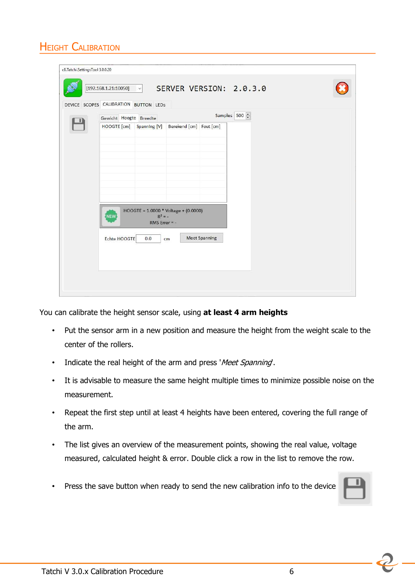## **HEIGHT CALIBRATION**

| DEVICE SCOPES CALIBRATION BUTTON LEDS<br>Gewicht Hoogte Breedte |                 |                                                  |                      |  |  |
|-----------------------------------------------------------------|-----------------|--------------------------------------------------|----------------------|--|--|
|                                                                 |                 | HOOGTE [cm] Spanning [V] Berekend [cm] Fout [cm] | Samples 500 $\div$   |  |  |
|                                                                 |                 |                                                  |                      |  |  |
|                                                                 |                 |                                                  |                      |  |  |
|                                                                 |                 |                                                  |                      |  |  |
|                                                                 |                 |                                                  |                      |  |  |
|                                                                 |                 |                                                  |                      |  |  |
|                                                                 |                 |                                                  |                      |  |  |
| <b>NEW</b>                                                      | $R^2 = -$       | HOOGTE = 1.0000 * Voltage + (0.0000)             |                      |  |  |
|                                                                 | RMS Error $= -$ |                                                  |                      |  |  |
| Echte HOOGTE                                                    | 0.0             | cm                                               | <b>Meet Spanning</b> |  |  |
|                                                                 |                 |                                                  |                      |  |  |

You can calibrate the height sensor scale, using **at least 4 arm heights**

- Put the sensor arm in a new position and measure the height from the weight scale to the center of the rollers.
- Indicate the real height of the arm and press 'Meet Spanning'.
- It is advisable to measure the same height multiple times to minimize possible noise on the measurement.
- Repeat the first step until at least 4 heights have been entered, covering the full range of the arm.
- The list gives an overview of the measurement points, showing the real value, voltage measured, calculated height & error. Double click a row in the list to remove the row.
- Press the save button when ready to send the new calibration info to the device